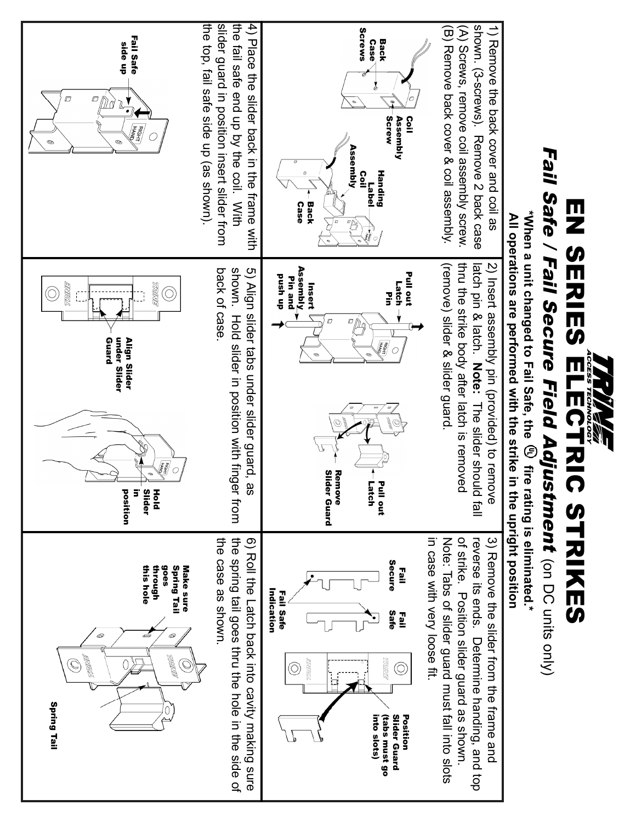

EN SERIES ELECTRIC STRIKES

FLUCTATC NHATYES

EN SERIES